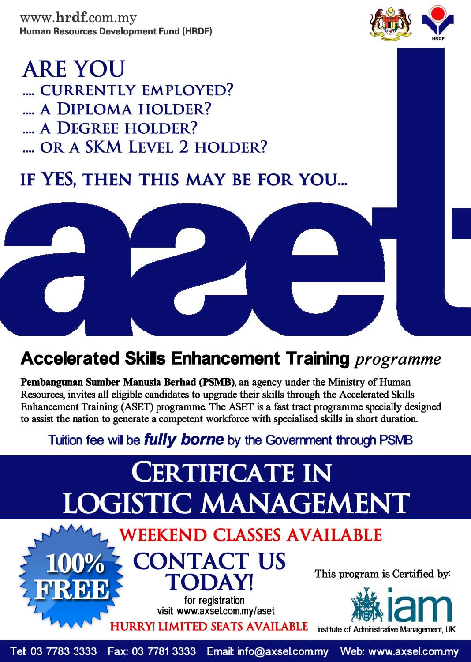www.hrdf.com.my Human Resources Development Fund (HRDF)



## **ARE YOU** .... CURRENTLY EMPLOYED? .... A DIPLOMA HOLDER? .... A DEGREE HOLDER? .... OR A SKM LEVEL 2 HOLDER?

## IF YES, THEN THIS MAY BE FOR YOU...



## **Accelerated Skills Enhancement Training** programme

Pembangunan Sumber Manusia Berhad (PSMB), an agency under the Ministry of Human Resources, invites all eligible candidates to upgrade their skills through the Accelerated Skills Enhancement Training (ASET) programme. The ASET is a fast tract programme specially designed to assist the nation to generate a competent workforce with specialised skills in short duration.

### Tuition fee will be **fully borne** by the Government through PSMB

# **CERTIFICATE IN** LOGISTIC MANAGEMENT

#### **WEEKEND CLASSES AVAILABLE CONTACT US** 100% This program is Certified by: **TODAY! RDD** for registration visit www.axsel.com.my/aset **HURRY! LIMITED SEATS AVAILABLE**

Institute of Administrative Management, UK

Tel: 03 7783 3333 Fax: 03 7781 3333 Email: info@axsel.com.my Web: www.axsel.com.my